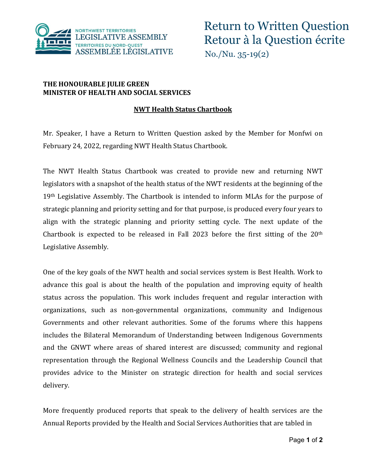

## **THE HONOURABLE JULIE GREEN MINISTER OF HEALTH AND SOCIAL SERVICES**

## **NWT Health Status Chartbook**

Mr. Speaker, I have a Return to Written Question asked by the Member for Monfwi on February 24, 2022, regarding NWT Health Status Chartbook.

The NWT Health Status Chartbook was created to provide new and returning NWT legislators with a snapshot of the health status of the NWT residents at the beginning of the 19<sup>th</sup> Legislative Assembly. The Chartbook is intended to inform MLAs for the purpose of strategic planning and priority setting and for that purpose, is produced every four years to align with the strategic planning and priority setting cycle. The next update of the Chartbook is expected to be released in Fall 2023 before the first sitting of the 20th Legislative Assembly.

One of the key goals of the NWT health and social services system is Best Health. Work to advance this goal is about the health of the population and improving equity of health status across the population. This work includes frequent and regular interaction with organizations, such as non-governmental organizations, community and Indigenous Governments and other relevant authorities. Some of the forums where this happens includes the Bilateral Memorandum of Understanding between Indigenous Governments and the GNWT where areas of shared interest are discussed; community and regional representation through the Regional Wellness Councils and the Leadership Council that provides advice to the Minister on strategic direction for health and social services delivery.

More frequently produced reports that speak to the delivery of health services are the Annual Reports provided by the Health and Social Services Authorities that are tabled in